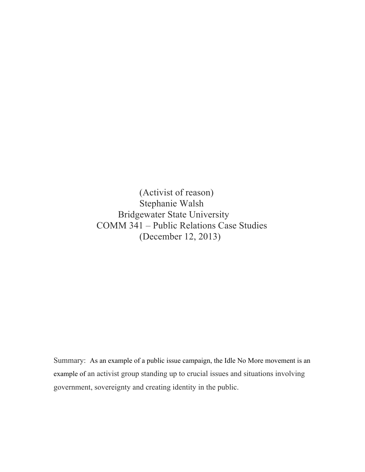(Activist of reason) Stephanie Walsh Bridgewater State University COMM 341 – Public Relations Case Studies (December 12, 2013)

Summary: As an example of a public issue campaign, the Idle No More movement is an example of an activist group standing up to crucial issues and situations involving government, sovereignty and creating identity in the public.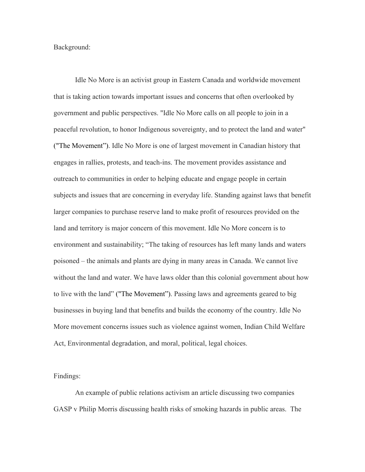Background:

Idle No More is an activist group in Eastern Canada and worldwide movement that is taking action towards important issues and concerns that often overlooked by government and public perspectives. "Idle No More calls on all people to join in a peaceful revolution, to honor Indigenous sovereignty, and to protect the land and water" ("The Movement"). Idle No More is one of largest movement in Canadian history that engages in rallies, protests, and teach-ins. The movement provides assistance and outreach to communities in order to helping educate and engage people in certain subjects and issues that are concerning in everyday life. Standing against laws that benefit larger companies to purchase reserve land to make profit of resources provided on the land and territory is major concern of this movement. Idle No More concern is to environment and sustainability; "The taking of resources has left many lands and waters poisoned – the animals and plants are dying in many areas in Canada. We cannot live without the land and water. We have laws older than this colonial government about how to live with the land" ("The Movement"). Passing laws and agreements geared to big businesses in buying land that benefits and builds the economy of the country. Idle No More movement concerns issues such as violence against women, Indian Child Welfare Act, Environmental degradation, and moral, political, legal choices.

Findings:

An example of public relations activism an article discussing two companies GASP v Philip Morris discussing health risks of smoking hazards in public areas. The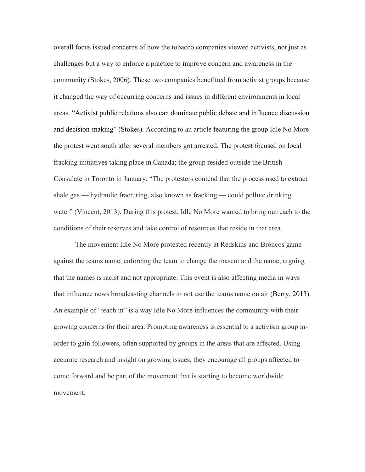overall focus issued concerns of how the tobacco companies viewed activists, not just as challenges but a way to enforce a practice to improve concern and awareness in the community (Stokes, 2006). These two companies benefitted from activist groups because it changed the way of occurring concerns and issues in different environments in local areas. "Activist public relations also can dominate public debate and influence discussion and decision-making" (Stokes). According to an article featuring the group Idle No More the protest went south after several members got arrested. The protest focused on local fracking initiatives taking place in Canada; the group resided outside the British Consulate in Toronto in January. "The protesters contend that the process used to extract shale gas — hydraulic fracturing, also known as fracking — could pollute drinking water" (Vincent, 2013). During this protest, Idle No More wanted to bring outreach to the conditions of their reserves and take control of resources that reside in that area.

The movement Idle No More protested recently at Redskins and Broncos game against the teams name, enforcing the team to change the mascot and the name, arguing that the names is racist and not appropriate. This event is also affecting media in ways that influence news broadcasting channels to not use the teams name on air (Berry, 2013). An example of "teach in" is a way Idle No More influences the community with their growing concerns for their area. Promoting awareness is essential to a activism group inorder to gain followers, often supported by groups in the areas that are affected. Using accurate research and insight on growing issues, they encourage all groups affected to come forward and be part of the movement that is starting to become worldwide movement.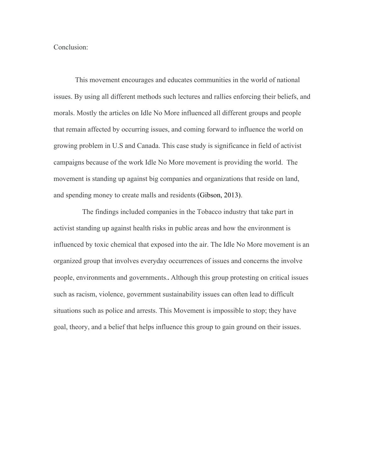Conclusion:

This movement encourages and educates communities in the world of national issues. By using all different methods such lectures and rallies enforcing their beliefs, and morals. Mostly the articles on Idle No More influenced all different groups and people that remain affected by occurring issues, and coming forward to influence the world on growing problem in U.S and Canada. This case study is significance in field of activist campaigns because of the work Idle No More movement is providing the world. The movement is standing up against big companies and organizations that reside on land, and spending money to create malls and residents (Gibson, 2013).

 The findings included companies in the Tobacco industry that take part in activist standing up against health risks in public areas and how the environment is influenced by toxic chemical that exposed into the air. The Idle No More movement is an organized group that involves everyday occurrences of issues and concerns the involve people, environments and governments.."Although this group protesting on critical issues such as racism, violence, government sustainability issues can often lead to difficult situations such as police and arrests. This Movement is impossible to stop; they have goal, theory, and a belief that helps influence this group to gain ground on their issues.